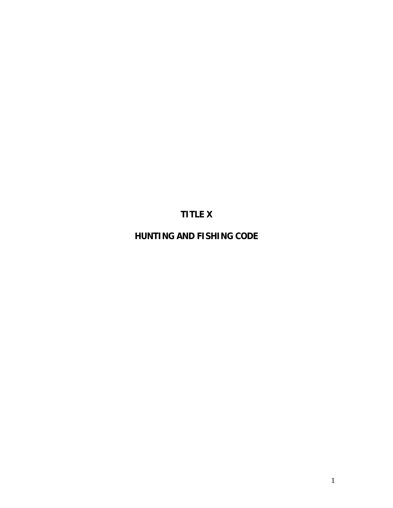# **TITLE X**

**HUNTING AND FISHING CODE**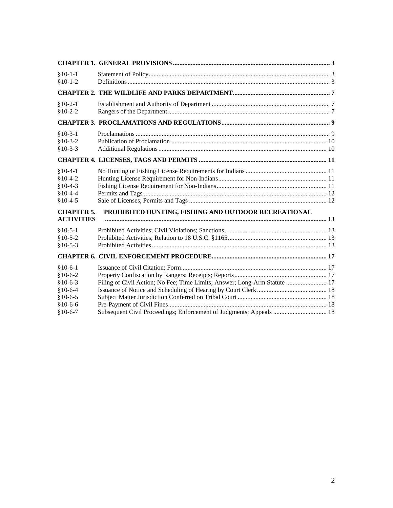|                                                                                                | $$10-1-1$<br>$$10-1-2$                                                     |                                                                           |  |  |
|------------------------------------------------------------------------------------------------|----------------------------------------------------------------------------|---------------------------------------------------------------------------|--|--|
|                                                                                                |                                                                            |                                                                           |  |  |
|                                                                                                | $$10-2-1$<br>$$10-2-2$                                                     |                                                                           |  |  |
|                                                                                                |                                                                            |                                                                           |  |  |
|                                                                                                | $$10-3-1$<br>$$10-3-2$<br>$$10-3-3$                                        |                                                                           |  |  |
|                                                                                                |                                                                            |                                                                           |  |  |
|                                                                                                | $$10-4-1$<br>$$10-4-2$<br>$$10-4-3$<br>$$10-4-4$<br>$$10-4-5$              |                                                                           |  |  |
| PROHIBITED HUNTING, FISHING AND OUTDOOR RECREATIONAL<br><b>CHAPTER 5.</b><br><b>ACTIVITIES</b> |                                                                            |                                                                           |  |  |
|                                                                                                | $$10-5-1$<br>$$10-5-2$<br>$$10-5-3$                                        |                                                                           |  |  |
|                                                                                                |                                                                            |                                                                           |  |  |
|                                                                                                | $$10-6-1$<br>$$10-6-2$<br>$$10-6-3$<br>$$10-6-4$<br>$$10-6-5$<br>$$10-6-6$ | Filing of Civil Action; No Fee; Time Limits; Answer; Long-Arm Statute  17 |  |  |
|                                                                                                | $$10-6-7$                                                                  | Subsequent Civil Proceedings; Enforcement of Judgments; Appeals  18       |  |  |
|                                                                                                |                                                                            |                                                                           |  |  |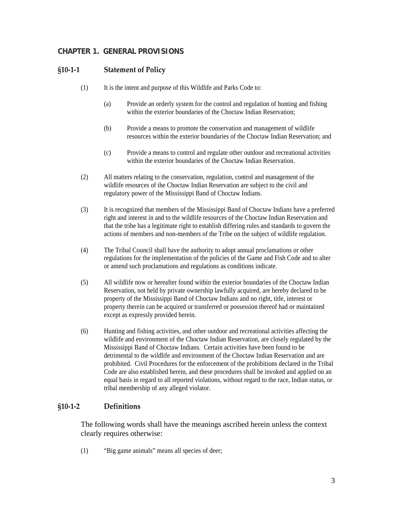# <span id="page-2-0"></span>**CHAPTER 1. GENERAL PROVISIONS**

## **§10‐1‐1 Statement of Policy**

- (1) It is the intent and purpose of this Wildlife and Parks Code to:
	- (a) Provide an orderly system for the control and regulation of hunting and fishing within the exterior boundaries of the Choctaw Indian Reservation;
	- (b) Provide a means to promote the conservation and management of wildlife resources within the exterior boundaries of the Choctaw Indian Reservation; and
	- (c) Provide a means to control and regulate other outdoor and recreational activities within the exterior boundaries of the Choctaw Indian Reservation.
- (2) All matters relating to the conservation, regulation, control and management of the wildlife resources of the Choctaw Indian Reservation are subject to the civil and regulatory power of the Mississippi Band of Choctaw Indians.
- (3) It is recognized that members of the Mississippi Band of Choctaw Indians have a preferred right and interest in and to the wildlife resources of the Choctaw Indian Reservation and that the tribe has a legitimate right to establish differing rules and standards to govern the actions of members and non-members of the Tribe on the subject of wildlife regulation.
- (4) The Tribal Council shall have the authority to adopt annual proclamations or other regulations for the implementation of the policies of the Game and Fish Code and to alter or amend such proclamations and regulations as conditions indicate.
- (5) All wildlife now or hereafter found within the exterior boundaries of the Choctaw Indian Reservation, not held by private ownership lawfully acquired, are hereby declared to be property of the Mississippi Band of Choctaw Indians and no right, title, interest or property therein can be acquired or transferred or possession thereof had or maintained except as expressly provided herein.
- (6) Hunting and fishing activities, and other outdoor and recreational activities affecting the wildlife and environment of the Choctaw Indian Reservation, are closely regulated by the Mississippi Band of Choctaw Indians. Certain activities have been found to be detrimental to the wildlife and environment of the Choctaw Indian Reservation and are prohibited. Civil Procedures for the enforcement of the prohibitions declared in the Tribal Code are also established herein, and these procedures shall be invoked and applied on an equal basis in regard to all reported violations, without regard to the race, Indian status, or tribal membership of any alleged violator.

# **§10‐1‐2 Definitions**

The following words shall have the meanings ascribed herein unless the context clearly requires otherwise:

(1) "Big game animals" means all species of deer;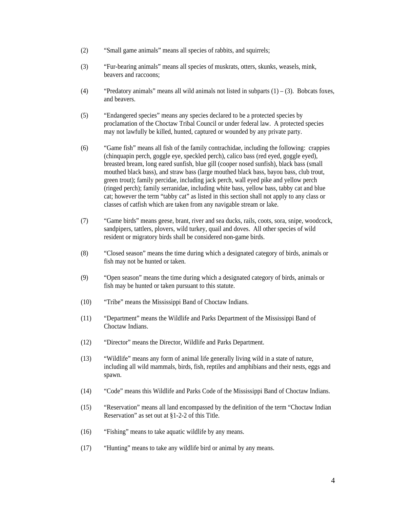- (2) "Small game animals" means all species of rabbits, and squirrels;
- (3) "Fur-bearing animals" means all species of muskrats, otters, skunks, weasels, mink, beavers and raccoons;
- (4) "Predatory animals" means all wild animals not listed in subparts  $(1) (3)$ . Bobcats foxes, and beavers.
- (5) "Endangered species" means any species declared to be a protected species by proclamation of the Choctaw Tribal Council or under federal law. A protected species may not lawfully be killed, hunted, captured or wounded by any private party.
- (6) "Game fish" means all fish of the family contrachidae, including the following: crappies (chinquapin perch, goggle eye, speckled perch), calico bass (red eyed, goggle eyed), breasted bream, long eared sunfish, blue gill (cooper nosed sunfish), black bass (small mouthed black bass), and straw bass (large mouthed black bass, bayou bass, club trout, green trout); family percidae, including jack perch, wall eyed pike and yellow perch (ringed perch); family serranidae, including white bass, yellow bass, tabby cat and blue cat; however the term "tabby cat" as listed in this section shall not apply to any class or classes of catfish which are taken from any navigable stream or lake.
- (7) "Game birds" means geese, brant, river and sea ducks, rails, coots, sora, snipe, woodcock, sandpipers, tattlers, plovers, wild turkey, quail and doves. All other species of wild resident or migratory birds shall be considered non-game birds.
- (8) "Closed season" means the time during which a designated category of birds, animals or fish may not be hunted or taken.
- (9) "Open season" means the time during which a designated category of birds, animals or fish may be hunted or taken pursuant to this statute.
- (10) "Tribe" means the Mississippi Band of Choctaw Indians.
- (11) "Department" means the Wildlife and Parks Department of the Mississippi Band of Choctaw Indians.
- (12) "Director" means the Director, Wildlife and Parks Department.
- (13) "Wildlife" means any form of animal life generally living wild in a state of nature, including all wild mammals, birds, fish, reptiles and amphibians and their nests, eggs and spawn.
- (14) "Code" means this Wildlife and Parks Code of the Mississippi Band of Choctaw Indians.
- (15) "Reservation" means all land encompassed by the definition of the term "Choctaw Indian Reservation" as set out at §1-2-2 of this Title.
- (16) "Fishing" means to take aquatic wildlife by any means.
- (17) "Hunting" means to take any wildlife bird or animal by any means.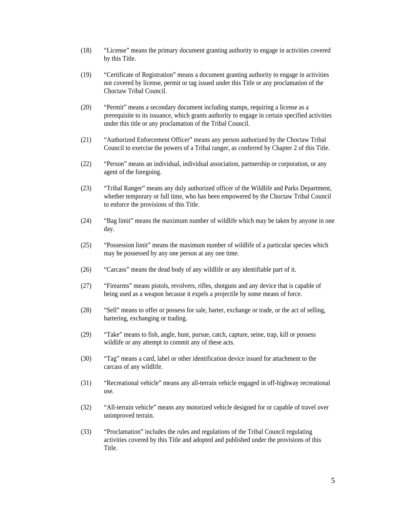- (18) "License" means the primary document granting authority to engage in activities covered by this Title.
- (19) "Certificate of Registration" means a document granting authority to engage in activities not covered by license, permit or tag issued under this Title or any proclamation of the Choctaw Tribal Council.
- (20) "Permit" means a secondary document including stamps, requiring a license as a prerequisite to its issuance, which grants authority to engage in certain specified activities under this title or any proclamation of the Tribal Council.
- (21) "Authorized Enforcement Officer" means any person authorized by the Choctaw Tribal Council to exercise the powers of a Tribal ranger, as conferred by Chapter 2 of this Title.
- (22) "Person" means an individual, individual association, partnership or corporation, or any agent of the foregoing.
- (23) "Tribal Ranger" means any duly authorized officer of the Wildlife and Parks Department, whether temporary or full time, who has been empowered by the Choctaw Tribal Council to enforce the provisions of this Title.
- (24) "Bag limit" means the maximum number of wildlife which may be taken by anyone in one day.
- (25) "Possession limit" means the maximum number of wildlife of a particular species which may be possessed by any one person at any one time.
- (26) "Carcass" means the dead body of any wildlife or any identifiable part of it.
- (27) "Firearms" means pistols, revolvers, rifles, shotguns and any device that is capable of being used as a weapon because it expels a projectile by some means of force.
- (28) "Sell" means to offer or possess for sale, barter, exchange or trade, or the act of selling, bartering, exchanging or trading.
- (29) "Take" means to fish, angle, hunt, pursue, catch, capture, seine, trap, kill or possess wildlife or any attempt to commit any of these acts.
- (30) "Tag" means a card, label or other identification device issued for attachment to the carcass of any wildlife.
- (31) "Recreational vehicle" means any all-terrain vehicle engaged in off-highway recreational use.
- (32) "All-terrain vehicle" means any motorized vehicle designed for or capable of travel over unimproved terrain.
- (33) "Proclamation" includes the rules and regulations of the Tribal Council regulating activities covered by this Title and adopted and published under the provisions of this Title.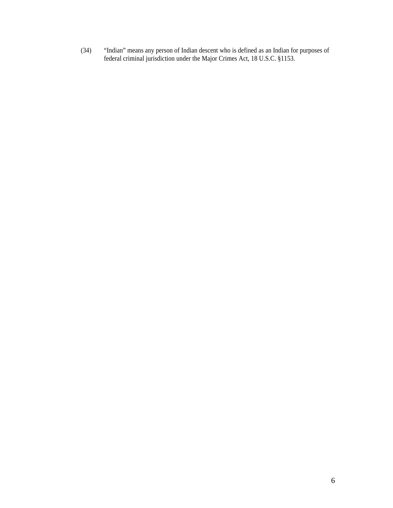(34) "Indian" means any person of Indian descent who is defined as an Indian for purposes of federal criminal jurisdiction under the Major Crimes Act, 18 U.S.C. §1153.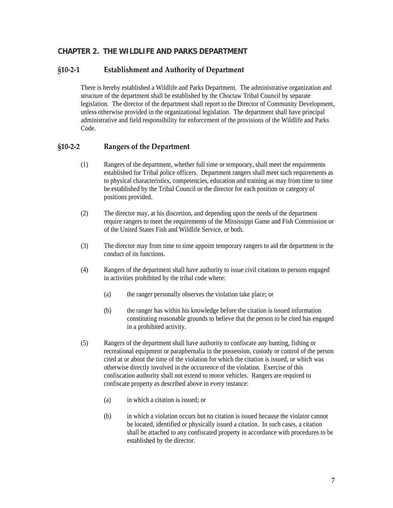## <span id="page-6-0"></span>**CHAPTER 2. THE WILDLIFE AND PARKS DEPARTMENT**

#### **§10‐2‐1 Establishment and Authority of Department**

There is hereby established a Wildlife and Parks Department. The administrative organization and structure of the department shall be established by the Choctaw Tribal Council by separate legislation. The director of the department shall report to the Director of Community Development, unless otherwise provided in the organizational legislation. The department shall have principal administrative and field responsibility for enforcement of the provisions of the Wildlife and Parks Code.

#### **§10‐2‐2 Rangers of the Department**

- (1) Rangers of the department, whether full time or temporary, shall meet the requirements established for Tribal police officers. Department rangers shall meet such requirements as to physical characteristics, competencies, education and training as may from time to time be established by the Tribal Council or the director for each position or category of positions provided.
- (2) The director may, at his discretion, and depending upon the needs of the department require rangers to meet the requirements of the Mississippi Game and Fish Commission or of the United States Fish and Wildlife Service, or both.
- (3) The director may from time to time appoint temporary rangers to aid the department in the conduct of its functions.
- (4) Rangers of the department shall have authority to issue civil citations to persons engaged in activities prohibited by the tribal code where:
	- (a) the ranger personally observes the violation take place; or
	- (b) the ranger has within his knowledge before the citation is issued information constituting reasonable grounds to believe that the person to be cited has engaged in a prohibited activity.
- (5) Rangers of the department shall have authority to confiscate any hunting, fishing or recreational equipment or paraphernalia in the possession, custody or control of the person cited at or about the time of the violation for which the citation is issued, or which was otherwise directly involved in the occurrence of the violation. Exercise of this confiscation authority shall not extend to motor vehicles. Rangers are required to confiscate property as described above in every instance:
	- (a) in which a citation is issued; or
	- (b) in which a violation occurs but no citation is issued because the violator cannot be located, identified or physically issued a citation. In such cases, a citation shall be attached to any confiscated property in accordance with procedures to be established by the director.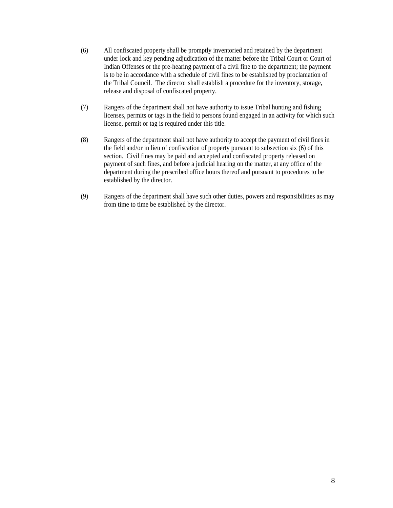- (6) All confiscated property shall be promptly inventoried and retained by the department under lock and key pending adjudication of the matter before the Tribal Court or Court of Indian Offenses or the pre-hearing payment of a civil fine to the department; the payment is to be in accordance with a schedule of civil fines to be established by proclamation of the Tribal Council. The director shall establish a procedure for the inventory, storage, release and disposal of confiscated property.
- (7) Rangers of the department shall not have authority to issue Tribal hunting and fishing licenses, permits or tags in the field to persons found engaged in an activity for which such license, permit or tag is required under this title.
- (8) Rangers of the department shall not have authority to accept the payment of civil fines in the field and/or in lieu of confiscation of property pursuant to subsection six (6) of this section. Civil fines may be paid and accepted and confiscated property released on payment of such fines, and before a judicial hearing on the matter, at any office of the department during the prescribed office hours thereof and pursuant to procedures to be established by the director.
- (9) Rangers of the department shall have such other duties, powers and responsibilities as may from time to time be established by the director.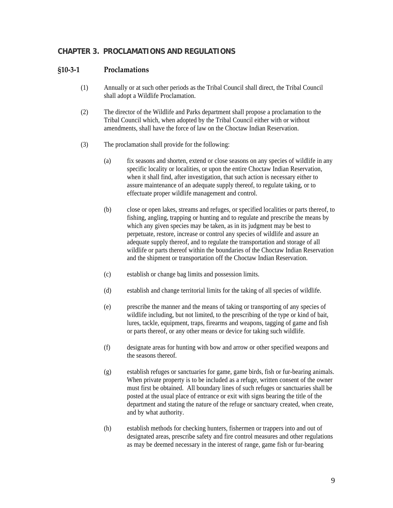## <span id="page-8-0"></span>**CHAPTER 3. PROCLAMATIONS AND REGULATIONS**

#### **§10‐3‐1 Proclamations**

- (1) Annually or at such other periods as the Tribal Council shall direct, the Tribal Council shall adopt a Wildlife Proclamation.
- (2) The director of the Wildlife and Parks department shall propose a proclamation to the Tribal Council which, when adopted by the Tribal Council either with or without amendments, shall have the force of law on the Choctaw Indian Reservation.
- (3) The proclamation shall provide for the following:
	- (a) fix seasons and shorten, extend or close seasons on any species of wildlife in any specific locality or localities, or upon the entire Choctaw Indian Reservation, when it shall find, after investigation, that such action is necessary either to assure maintenance of an adequate supply thereof, to regulate taking, or to effectuate proper wildlife management and control.
	- (b) close or open lakes, streams and refuges, or specified localities or parts thereof, to fishing, angling, trapping or hunting and to regulate and prescribe the means by which any given species may be taken, as in its judgment may be best to perpetuate, restore, increase or control any species of wildlife and assure an adequate supply thereof, and to regulate the transportation and storage of all wildlife or parts thereof within the boundaries of the Choctaw Indian Reservation and the shipment or transportation off the Choctaw Indian Reservation.
	- (c) establish or change bag limits and possession limits.
	- (d) establish and change territorial limits for the taking of all species of wildlife.
	- (e) prescribe the manner and the means of taking or transporting of any species of wildlife including, but not limited, to the prescribing of the type or kind of bait, lures, tackle, equipment, traps, firearms and weapons, tagging of game and fish or parts thereof, or any other means or device for taking such wildlife.
	- (f) designate areas for hunting with bow and arrow or other specified weapons and the seasons thereof.
	- (g) establish refuges or sanctuaries for game, game birds, fish or fur-bearing animals. When private property is to be included as a refuge, written consent of the owner must first be obtained. All boundary lines of such refuges or sanctuaries shall be posted at the usual place of entrance or exit with signs bearing the title of the department and stating the nature of the refuge or sanctuary created, when create, and by what authority.
	- (h) establish methods for checking hunters, fishermen or trappers into and out of designated areas, prescribe safety and fire control measures and other regulations as may be deemed necessary in the interest of range, game fish or fur-bearing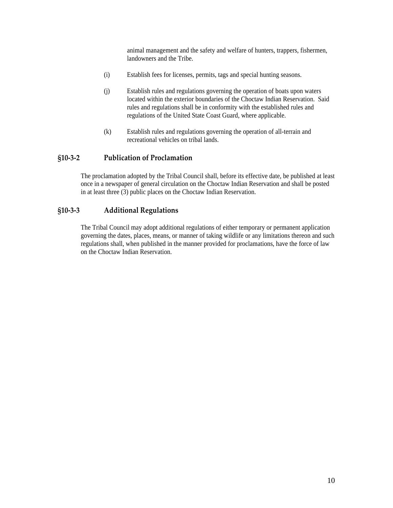animal management and the safety and welfare of hunters, trappers, fishermen, landowners and the Tribe.

- <span id="page-9-0"></span>(i) Establish fees for licenses, permits, tags and special hunting seasons.
- (j) Establish rules and regulations governing the operation of boats upon waters located within the exterior boundaries of the Choctaw Indian Reservation. Said rules and regulations shall be in conformity with the established rules and regulations of the United State Coast Guard, where applicable.
- (k) Establish rules and regulations governing the operation of all-terrain and recreational vehicles on tribal lands.

#### **§10‐3‐2 Publication of Proclamation**

The proclamation adopted by the Tribal Council shall, before its effective date, be published at least once in a newspaper of general circulation on the Choctaw Indian Reservation and shall be posted in at least three (3) public places on the Choctaw Indian Reservation.

#### **§10‐3‐3 Additional Regulations**

The Tribal Council may adopt additional regulations of either temporary or permanent application governing the dates, places, means, or manner of taking wildlife or any limitations thereon and such regulations shall, when published in the manner provided for proclamations, have the force of law on the Choctaw Indian Reservation.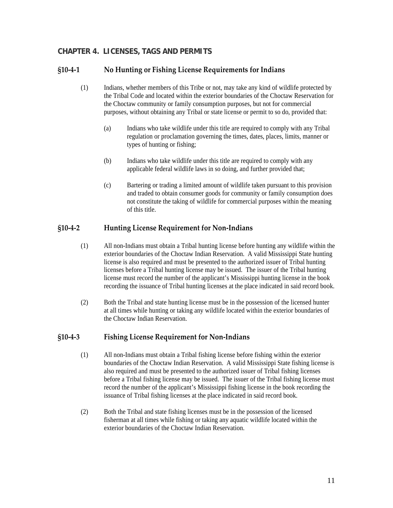# <span id="page-10-0"></span>**CHAPTER 4. LICENSES, TAGS AND PERMITS**

#### **§10‐4‐1 No Hunting or Fishing License Requirements for Indians**

- (1) Indians, whether members of this Tribe or not, may take any kind of wildlife protected by the Tribal Code and located within the exterior boundaries of the Choctaw Reservation for the Choctaw community or family consumption purposes, but not for commercial purposes, without obtaining any Tribal or state license or permit to so do, provided that:
	- (a) Indians who take wildlife under this title are required to comply with any Tribal regulation or proclamation governing the times, dates, places, limits, manner or types of hunting or fishing;
	- (b) Indians who take wildlife under this title are required to comply with any applicable federal wildlife laws in so doing, and further provided that;
	- (c) Bartering or trading a limited amount of wildlife taken pursuant to this provision and traded to obtain consumer goods for community or family consumption does not constitute the taking of wildlife for commercial purposes within the meaning of this title.

#### **§10‐4‐2 Hunting License Requirement for Non‐Indians**

- (1) All non-Indians must obtain a Tribal hunting license before hunting any wildlife within the exterior boundaries of the Choctaw Indian Reservation. A valid Mississippi State hunting license is also required and must be presented to the authorized issuer of Tribal hunting licenses before a Tribal hunting license may be issued. The issuer of the Tribal hunting license must record the number of the applicant's Mississippi hunting license in the book recording the issuance of Tribal hunting licenses at the place indicated in said record book.
- (2) Both the Tribal and state hunting license must be in the possession of the licensed hunter at all times while hunting or taking any wildlife located within the exterior boundaries of the Choctaw Indian Reservation.

# **§10‐4‐3 Fishing License Requirement for Non‐Indians**

- (1) All non-Indians must obtain a Tribal fishing license before fishing within the exterior boundaries of the Choctaw Indian Reservation. A valid Mississippi State fishing license is also required and must be presented to the authorized issuer of Tribal fishing licenses before a Tribal fishing license may be issued. The issuer of the Tribal fishing license must record the number of the applicant's Mississippi fishing license in the book recording the issuance of Tribal fishing licenses at the place indicated in said record book.
- (2) Both the Tribal and state fishing licenses must be in the possession of the licensed fisherman at all times while fishing or taking any aquatic wildlife located within the exterior boundaries of the Choctaw Indian Reservation.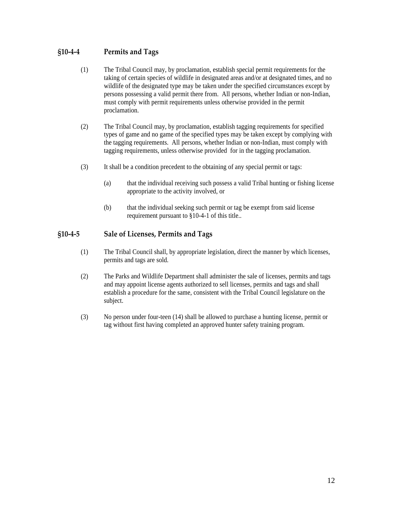## <span id="page-11-0"></span>**§10‐4‐4 Permits and Tags**

- (1) The Tribal Council may, by proclamation, establish special permit requirements for the taking of certain species of wildlife in designated areas and/or at designated times, and no wildlife of the designated type may be taken under the specified circumstances except by persons possessing a valid permit there from. All persons, whether Indian or non-Indian, must comply with permit requirements unless otherwise provided in the permit proclamation.
- (2) The Tribal Council may, by proclamation, establish tagging requirements for specified types of game and no game of the specified types may be taken except by complying with the tagging requirements. All persons, whether Indian or non-Indian, must comply with tagging requirements, unless otherwise provided for in the tagging proclamation.
- (3) It shall be a condition precedent to the obtaining of any special permit or tags:
	- (a) that the individual receiving such possess a valid Tribal hunting or fishing license appropriate to the activity involved, or
	- (b) that the individual seeking such permit or tag be exempt from said license requirement pursuant to §10-4-1 of this title..

#### **§10‐4‐5 Sale of Licenses, Permits and Tags**

- (1) The Tribal Council shall, by appropriate legislation, direct the manner by which licenses, permits and tags are sold.
- (2) The Parks and Wildlife Department shall administer the sale of licenses, permits and tags and may appoint license agents authorized to sell licenses, permits and tags and shall establish a procedure for the same, consistent with the Tribal Council legislature on the subject.
- (3) No person under four-teen (14) shall be allowed to purchase a hunting license, permit or tag without first having completed an approved hunter safety training program.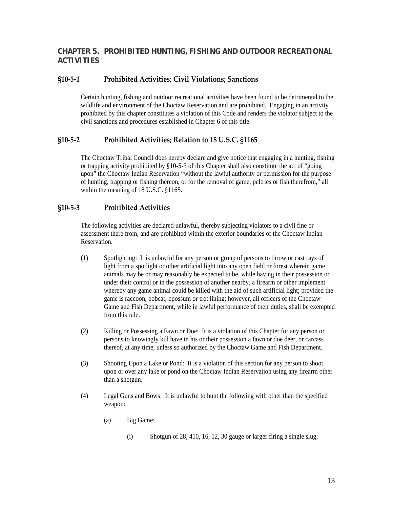# <span id="page-12-0"></span>**CHAPTER 5. PROHIBITED HUNTING, FISHING AND OUTDOOR RECREATIONAL ACTIVITIES**

# **§10‐5‐1 Prohibited Activities; Civil Violations; Sanctions**

Certain hunting, fishing and outdoor recreational activities have been found to be detrimental to the wildlife and environment of the Choctaw Reservation and are prohibited. Engaging in an activity prohibited by this chapter constitutes a violation of this Code and renders the violator subject to the civil sanctions and procedures established in Chapter 6 of this title.

# **§10‐5‐2 Prohibited Activities; Relation to 18 U.S.C. §1165**

The Choctaw Tribal Council does hereby declare and give notice that engaging in a hunting, fishing or trapping activity prohibited by §10-5-3 of this Chapter shall also constitute the act of "going upon" the Choctaw Indian Reservation "without the lawful authority or permission for the purpose of hunting, trapping or fishing thereon, or for the removal of game, peltries or fish therefrom," all within the meaning of 18 U.S.C. §1165.

# **§10‐5‐3 Prohibited Activities**

The following activities are declared unlawful, thereby subjecting violators to a civil fine or assessment there from, and are prohibited within the exterior boundaries of the Choctaw Indian Reservation.

- (1) Spotlighting: It is unlawful for any person or group of persons to throw or cast rays of light from a spotlight or other artificial light into any open field or forest wherein game animals may be or may reasonably be expected to be, while having in their possession or under their control or in the possession of another nearby, a firearm or other implement whereby any game animal could be killed with the aid of such artificial light; provided the game is raccoon, bobcat, opossum or trot lining; however, all officers of the Choctaw Game and Fish Department, while in lawful performance of their duties, shall be exempted from this rule.
- (2) Killing or Possessing a Fawn or Doe: It is a violation of this Chapter for any person or persons to knowingly kill have in his or their possession a fawn or doe deer, or carcass thereof, at any time, unless so authorized by the Choctaw Game and Fish Department.
- (3) Shooting Upon a Lake or Pond: It is a violation of this section for any person to shoot upon or over any lake or pond on the Choctaw Indian Reservation using any firearm other than a shotgun.
- (4) Legal Guns and Bows: It is unlawful to hunt the following with other than the specified weapon:
	- (a) Big Game:
		- (i) Shotgun of 28, 410, 16, 12, 30 gauge or larger firing a single slug;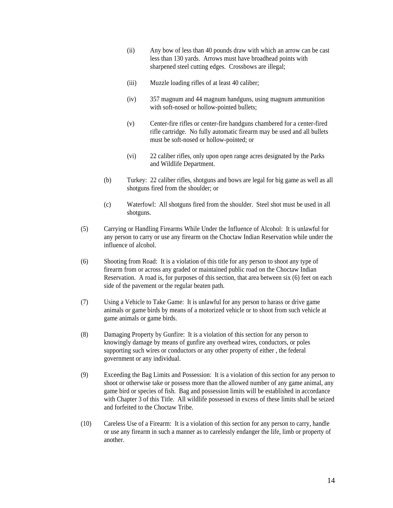- (ii) Any bow of less than 40 pounds draw with which an arrow can be cast less than 130 yards. Arrows must have broadhead points with sharpened steel cutting edges. Crossbows are illegal;
- (iii) Muzzle loading rifles of at least 40 caliber;
- (iv) 357 magnum and 44 magnum handguns, using magnum ammunition with soft-nosed or hollow-pointed bullets;
- (v) Center-fire rifles or center-fire handguns chambered for a center-fired rifle cartridge. No fully automatic firearm may be used and all bullets must be soft-nosed or hollow-pointed; or
- (vi) 22 caliber rifles, only upon open range acres designated by the Parks and Wildlife Department.
- (b) Turkey: 22 caliber rifles, shotguns and bows are legal for big game as well as all shotguns fired from the shoulder; or
- (c) Waterfowl: All shotguns fired from the shoulder. Steel shot must be used in all shotguns.
- (5) Carrying or Handling Firearms While Under the Influence of Alcohol: It is unlawful for any person to carry or use any firearm on the Choctaw Indian Reservation while under the influence of alcohol.
- (6) Shooting from Road: It is a violation of this title for any person to shoot any type of firearm from or across any graded or maintained public road on the Choctaw Indian Reservation. A road is, for purposes of this section, that area between six (6) feet on each side of the pavement or the regular beaten path.
- (7) Using a Vehicle to Take Game: It is unlawful for any person to harass or drive game animals or game birds by means of a motorized vehicle or to shoot from such vehicle at game animals or game birds.
- (8) Damaging Property by Gunfire: It is a violation of this section for any person to knowingly damage by means of gunfire any overhead wires, conductors, or poles supporting such wires or conductors or any other property of either , the federal government or any individual.
- (9) Exceeding the Bag Limits and Possession: It is a violation of this section for any person to shoot or otherwise take or possess more than the allowed number of any game animal, any game bird or species of fish. Bag and possession limits will be established in accordance with Chapter 3 of this Title. All wildlife possessed in excess of these limits shall be seized and forfeited to the Choctaw Tribe.
- (10) Careless Use of a Firearm: It is a violation of this section for any person to carry, handle or use any firearm in such a manner as to carelessly endanger the life, limb or property of another.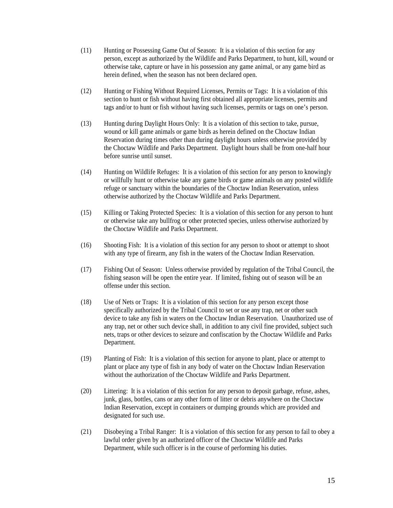- (11) Hunting or Possessing Game Out of Season: It is a violation of this section for any person, except as authorized by the Wildlife and Parks Department, to hunt, kill, wound or otherwise take, capture or have in his possession any game animal, or any game bird as herein defined, when the season has not been declared open.
- (12) Hunting or Fishing Without Required Licenses, Permits or Tags: It is a violation of this section to hunt or fish without having first obtained all appropriate licenses, permits and tags and/or to hunt or fish without having such licenses, permits or tags on one's person.
- (13) Hunting during Daylight Hours Only: It is a violation of this section to take, pursue, wound or kill game animals or game birds as herein defined on the Choctaw Indian Reservation during times other than during daylight hours unless otherwise provided by the Choctaw Wildlife and Parks Department. Daylight hours shall be from one-half hour before sunrise until sunset.
- (14) Hunting on Wildlife Refuges: It is a violation of this section for any person to knowingly or willfully hunt or otherwise take any game birds or game animals on any posted wildlife refuge or sanctuary within the boundaries of the Choctaw Indian Reservation, unless otherwise authorized by the Choctaw Wildlife and Parks Department.
- (15) Killing or Taking Protected Species: It is a violation of this section for any person to hunt or otherwise take any bullfrog or other protected species, unless otherwise authorized by the Choctaw Wildlife and Parks Department.
- (16) Shooting Fish: It is a violation of this section for any person to shoot or attempt to shoot with any type of firearm, any fish in the waters of the Choctaw Indian Reservation.
- (17) Fishing Out of Season: Unless otherwise provided by regulation of the Tribal Council, the fishing season will be open the entire year. If limited, fishing out of season will be an offense under this section.
- (18) Use of Nets or Traps: It is a violation of this section for any person except those specifically authorized by the Tribal Council to set or use any trap, net or other such device to take any fish in waters on the Choctaw Indian Reservation. Unauthorized use of any trap, net or other such device shall, in addition to any civil fine provided, subject such nets, traps or other devices to seizure and confiscation by the Choctaw Wildlife and Parks Department.
- (19) Planting of Fish: It is a violation of this section for anyone to plant, place or attempt to plant or place any type of fish in any body of water on the Choctaw Indian Reservation without the authorization of the Choctaw Wildlife and Parks Department.
- (20) Littering: It is a violation of this section for any person to deposit garbage, refuse, ashes, junk, glass, bottles, cans or any other form of litter or debris anywhere on the Choctaw Indian Reservation, except in containers or dumping grounds which are provided and designated for such use.
- (21) Disobeying a Tribal Ranger: It is a violation of this section for any person to fail to obey a lawful order given by an authorized officer of the Choctaw Wildlife and Parks Department, while such officer is in the course of performing his duties.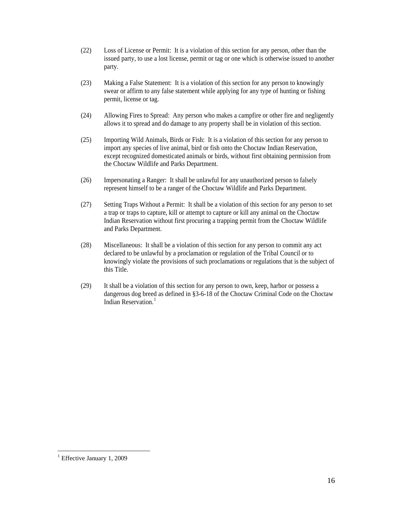- (22) Loss of License or Permit: It is a violation of this section for any person, other than the issued party, to use a lost license, permit or tag or one which is otherwise issued to another party.
- (23) Making a False Statement: It is a violation of this section for any person to knowingly swear or affirm to any false statement while applying for any type of hunting or fishing permit, license or tag.
- (24) Allowing Fires to Spread: Any person who makes a campfire or other fire and negligently allows it to spread and do damage to any property shall be in violation of this section.
- (25) Importing Wild Animals, Birds or Fish: It is a violation of this section for any person to import any species of live animal, bird or fish onto the Choctaw Indian Reservation, except recognized domesticated animals or birds, without first obtaining permission from the Choctaw Wildlife and Parks Department.
- (26) Impersonating a Ranger: It shall be unlawful for any unauthorized person to falsely represent himself to be a ranger of the Choctaw Wildlife and Parks Department.
- (27) Setting Traps Without a Permit: It shall be a violation of this section for any person to set a trap or traps to capture, kill or attempt to capture or kill any animal on the Choctaw Indian Reservation without first procuring a trapping permit from the Choctaw Wildlife and Parks Department.
- (28) Miscellaneous: It shall be a violation of this section for any person to commit any act declared to be unlawful by a proclamation or regulation of the Tribal Council or to knowingly violate the provisions of such proclamations or regulations that is the subject of this Title.
- (29) It shall be a violation of this section for any person to own, keep, harbor or possess a dangerous dog breed as defined in §3-6-18 of the Choctaw Criminal Code on the Choctaw Indian Reservation<sup>[1](#page-15-0)</sup>

 $\overline{a}$ 

<span id="page-15-0"></span><sup>&</sup>lt;sup>1</sup> Effective January 1, 2009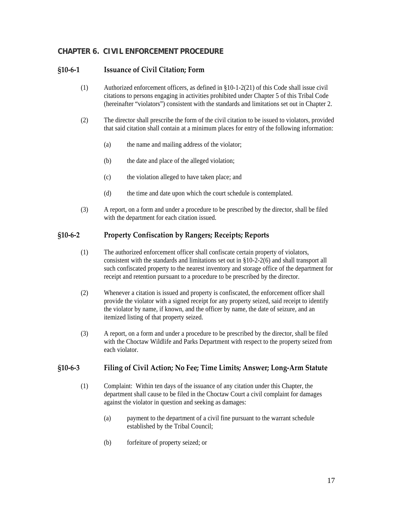# <span id="page-16-0"></span>**CHAPTER 6. CIVIL ENFORCEMENT PROCEDURE**

#### **§10‐6‐1 Issuance of Civil Citation; Form**

- (1) Authorized enforcement officers, as defined in §10-1-2(21) of this Code shall issue civil citations to persons engaging in activities prohibited under Chapter 5 of this Tribal Code (hereinafter "violators") consistent with the standards and limitations set out in Chapter 2.
- (2) The director shall prescribe the form of the civil citation to be issued to violators, provided that said citation shall contain at a minimum places for entry of the following information:
	- (a) the name and mailing address of the violator;
	- (b) the date and place of the alleged violation;
	- (c) the violation alleged to have taken place; and
	- (d) the time and date upon which the court schedule is contemplated.
- (3) A report, on a form and under a procedure to be prescribed by the director, shall be filed with the department for each citation issued.

#### **§10‐6‐2 Property Confiscation by Rangers; Receipts; Reports**

- (1) The authorized enforcement officer shall confiscate certain property of violators, consistent with the standards and limitations set out in §10-2-2(6) and shall transport all such confiscated property to the nearest inventory and storage office of the department for receipt and retention pursuant to a procedure to be prescribed by the director.
- (2) Whenever a citation is issued and property is confiscated, the enforcement officer shall provide the violator with a signed receipt for any property seized, said receipt to identify the violator by name, if known, and the officer by name, the date of seizure, and an itemized listing of that property seized.
- (3) A report, on a form and under a procedure to be prescribed by the director, shall be filed with the Choctaw Wildlife and Parks Department with respect to the property seized from each violator.

#### **§10‐6‐3 Filing of Civil Action; No Fee; Time Limits; Answer; Long‐Arm Statute**

- (1) Complaint: Within ten days of the issuance of any citation under this Chapter, the department shall cause to be filed in the Choctaw Court a civil complaint for damages against the violator in question and seeking as damages:
	- (a) payment to the department of a civil fine pursuant to the warrant schedule established by the Tribal Council;
	- (b) forfeiture of property seized; or